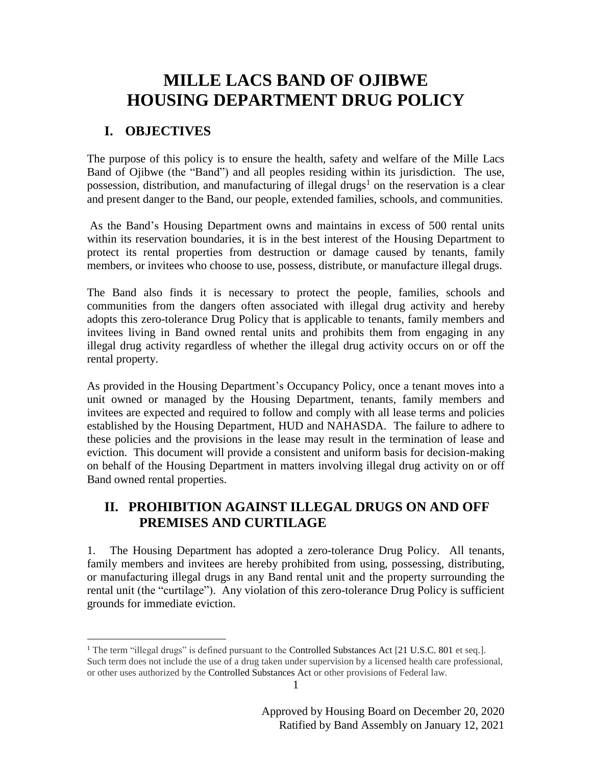## **MILLE LACS BAND OF OJIBWE HOUSING DEPARTMENT DRUG POLICY**

## **I. OBJECTIVES**

 $\overline{a}$ 

The purpose of this policy is to ensure the health, safety and welfare of the Mille Lacs Band of Ojibwe (the "Band") and all peoples residing within its jurisdiction. The use, possession, distribution, and manufacturing of illegal drugs<sup>1</sup> on the reservation is a clear and present danger to the Band, our people, extended families, schools, and communities.

As the Band's Housing Department owns and maintains in excess of 500 rental units within its reservation boundaries, it is in the best interest of the Housing Department to protect its rental properties from destruction or damage caused by tenants, family members, or invitees who choose to use, possess, distribute, or manufacture illegal drugs.

The Band also finds it is necessary to protect the people, families, schools and communities from the dangers often associated with illegal drug activity and hereby adopts this zero-tolerance Drug Policy that is applicable to tenants, family members and invitees living in Band owned rental units and prohibits them from engaging in any illegal drug activity regardless of whether the illegal drug activity occurs on or off the rental property.

As provided in the Housing Department's Occupancy Policy, once a tenant moves into a unit owned or managed by the Housing Department, tenants, family members and invitees are expected and required to follow and comply with all lease terms and policies established by the Housing Department, HUD and NAHASDA. The failure to adhere to these policies and the provisions in the lease may result in the termination of lease and eviction. This document will provide a consistent and uniform basis for decision-making on behalf of the Housing Department in matters involving illegal drug activity on or off Band owned rental properties.

## **II. PROHIBITION AGAINST ILLEGAL DRUGS ON AND OFF PREMISES AND CURTILAGE**

1. The Housing Department has adopted a zero-tolerance Drug Policy. All tenants, family members and invitees are hereby prohibited from using, possessing, distributing, or manufacturing illegal drugs in any Band rental unit and the property surrounding the rental unit (the "curtilage"). Any violation of this zero-tolerance Drug Policy is sufficient grounds for immediate eviction.

1

<sup>&</sup>lt;sup>1</sup> The term "illegal drugs" is defined pursuant to the Controlled Substances Act  $[21 \text{ U.S.C. } 801 \text{ et seq.}].$ Such term does not include the use of a drug taken under supervision by a licensed health care professional, or other uses authorized by the Controlled Substances Act or other provisions of Federal law.